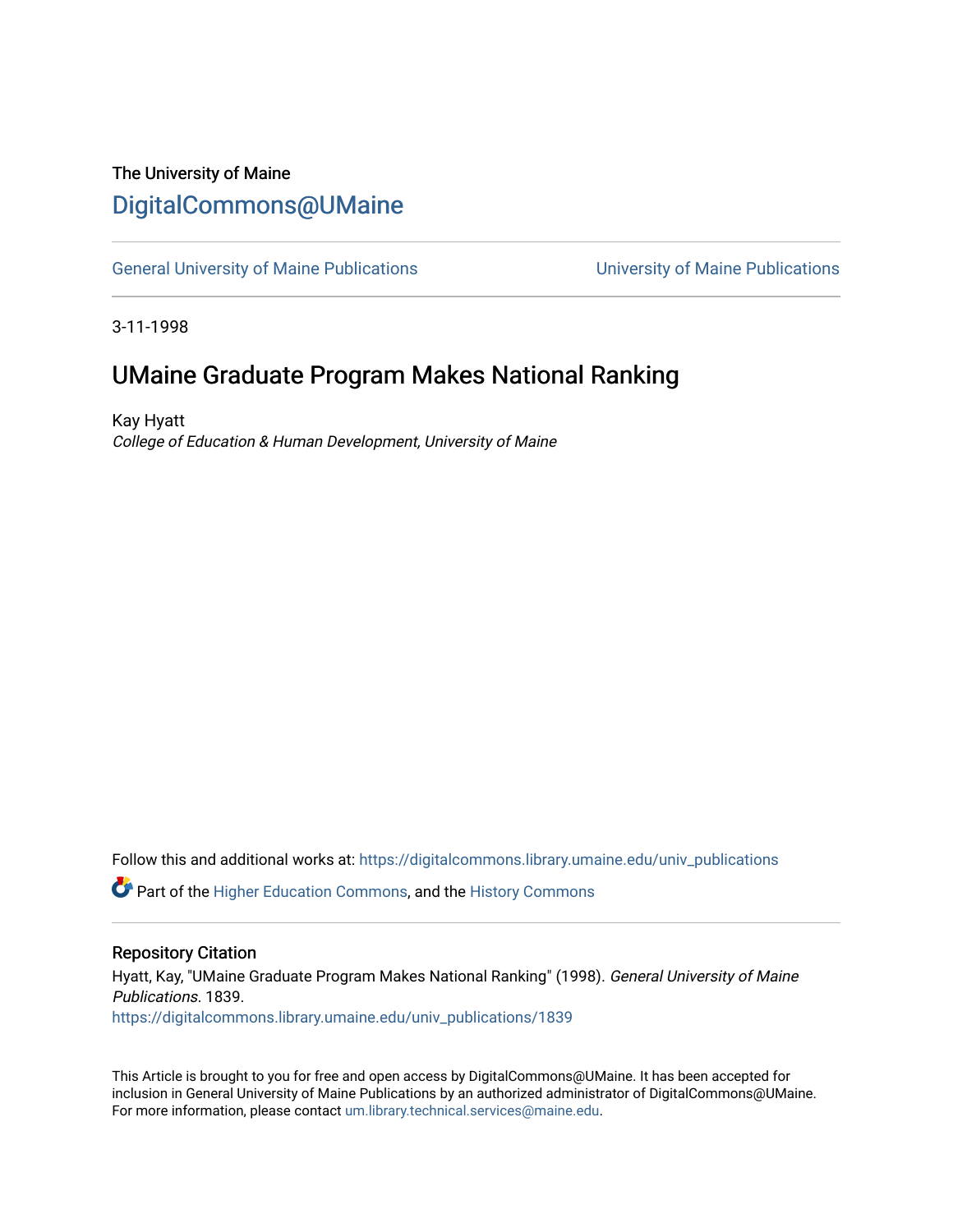## The University of Maine [DigitalCommons@UMaine](https://digitalcommons.library.umaine.edu/)

[General University of Maine Publications](https://digitalcommons.library.umaine.edu/univ_publications) [University of Maine Publications](https://digitalcommons.library.umaine.edu/umaine_publications) 

3-11-1998

## UMaine Graduate Program Makes National Ranking

Kay Hyatt College of Education & Human Development, University of Maine

Follow this and additional works at: [https://digitalcommons.library.umaine.edu/univ\\_publications](https://digitalcommons.library.umaine.edu/univ_publications?utm_source=digitalcommons.library.umaine.edu%2Funiv_publications%2F1839&utm_medium=PDF&utm_campaign=PDFCoverPages) 

**C** Part of the [Higher Education Commons,](http://network.bepress.com/hgg/discipline/1245?utm_source=digitalcommons.library.umaine.edu%2Funiv_publications%2F1839&utm_medium=PDF&utm_campaign=PDFCoverPages) and the [History Commons](http://network.bepress.com/hgg/discipline/489?utm_source=digitalcommons.library.umaine.edu%2Funiv_publications%2F1839&utm_medium=PDF&utm_campaign=PDFCoverPages)

#### Repository Citation

Hyatt, Kay, "UMaine Graduate Program Makes National Ranking" (1998). General University of Maine Publications. 1839. [https://digitalcommons.library.umaine.edu/univ\\_publications/1839](https://digitalcommons.library.umaine.edu/univ_publications/1839?utm_source=digitalcommons.library.umaine.edu%2Funiv_publications%2F1839&utm_medium=PDF&utm_campaign=PDFCoverPages)

This Article is brought to you for free and open access by DigitalCommons@UMaine. It has been accepted for inclusion in General University of Maine Publications by an authorized administrator of DigitalCommons@UMaine. For more information, please contact [um.library.technical.services@maine.edu](mailto:um.library.technical.services@maine.edu).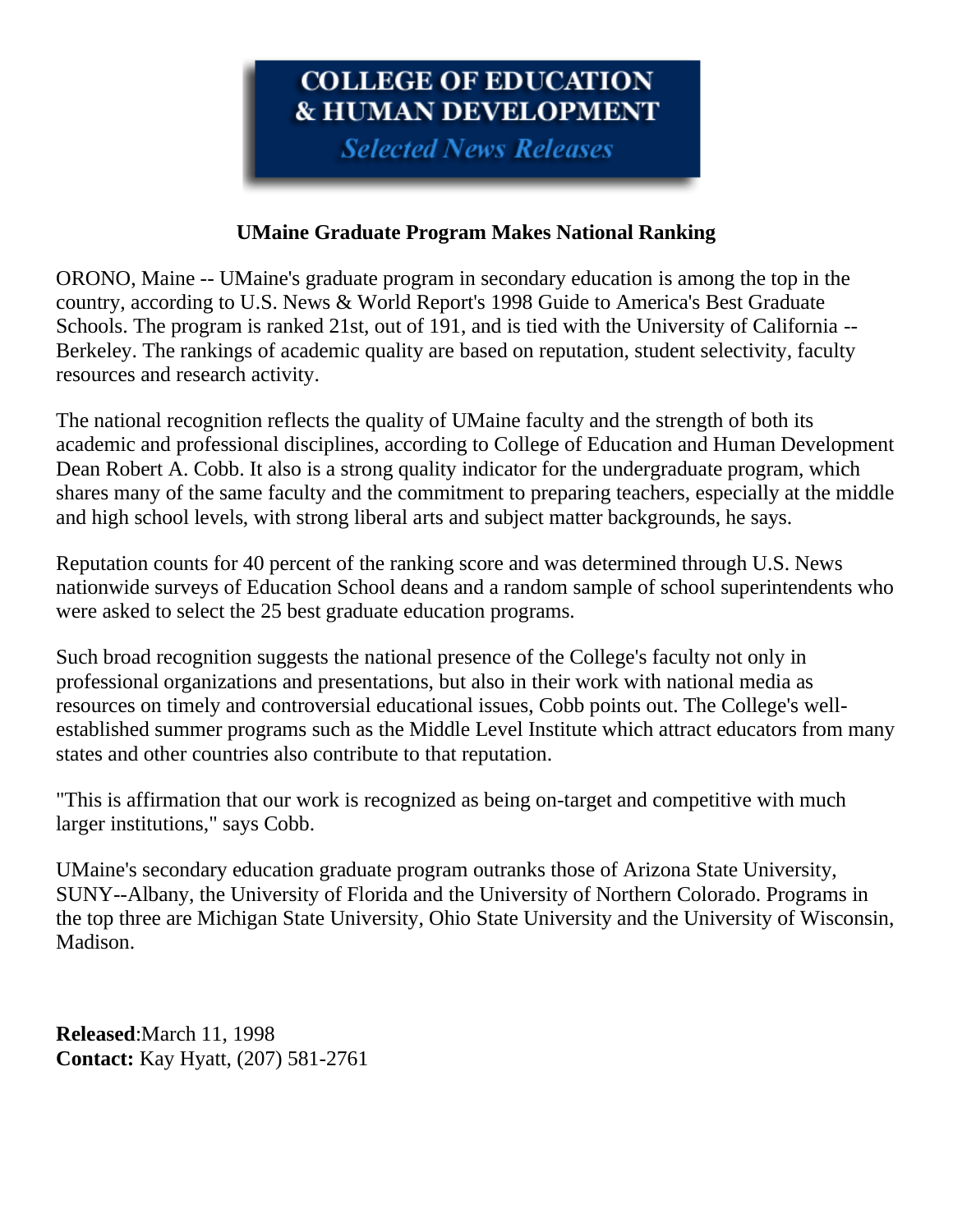# COLLEGE OF EDUCATION **& HUMAN DEVELOPMENT**

**Selected News Releases** 

### **UMaine Graduate Program Makes National Ranking**

ORONO, Maine -- UMaine's graduate program in secondary education is among the top in the country, according to U.S. News & World Report's 1998 Guide to America's Best Graduate Schools. The program is ranked 21st, out of 191, and is tied with the University of California -- Berkeley. The rankings of academic quality are based on reputation, student selectivity, faculty resources and research activity.

The national recognition reflects the quality of UMaine faculty and the strength of both its academic and professional disciplines, according to College of Education and Human Development Dean Robert A. Cobb. It also is a strong quality indicator for the undergraduate program, which shares many of the same faculty and the commitment to preparing teachers, especially at the middle and high school levels, with strong liberal arts and subject matter backgrounds, he says.

Reputation counts for 40 percent of the ranking score and was determined through U.S. News nationwide surveys of Education School deans and a random sample of school superintendents who were asked to select the 25 best graduate education programs.

Such broad recognition suggests the national presence of the College's faculty not only in professional organizations and presentations, but also in their work with national media as resources on timely and controversial educational issues, Cobb points out. The College's wellestablished summer programs such as the Middle Level Institute which attract educators from many states and other countries also contribute to that reputation.

"This is affirmation that our work is recognized as being on-target and competitive with much larger institutions," says Cobb.

UMaine's secondary education graduate program outranks those of Arizona State University, SUNY--Albany, the University of Florida and the University of Northern Colorado. Programs in the top three are Michigan State University, Ohio State University and the University of Wisconsin, Madison.

**Released**:March 11, 1998 **Contact:** Kay Hyatt, (207) 581-2761